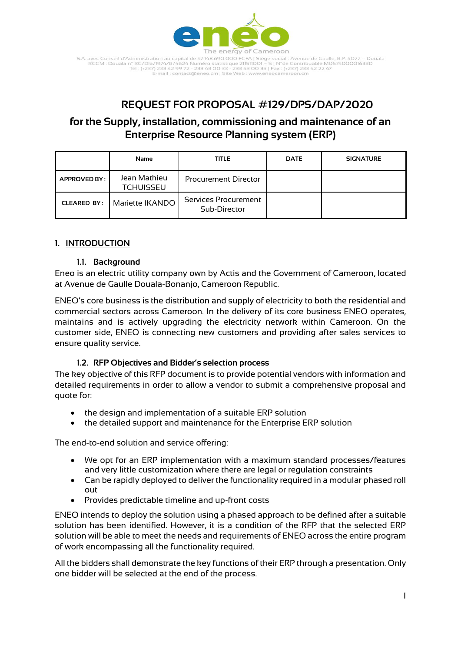

S.A. avec Conseil d'Administration au capital de 47.148.690.000 FCFA | Siège social : Avenue de Gaulle, B.P. 4077 – Douala<br>RCCM : Douala n° RC/Dla/1974/B/4624 Numéro statistique 211511001 – S | N°de Contribuable M057400001 -mail : contact@eneo.cm | Site Web : www.er

# **REQUEST FOR PROPOSAL #129/DPS/DAP/2020**

# **for the Supply, installation, commissioning and maintenance of an Enterprise Resource Planning system (ERP)**

|                     | Name                             | <b>TITLE</b>                         | <b>DATE</b> | <b>SIGNATURE</b> |
|---------------------|----------------------------------|--------------------------------------|-------------|------------------|
| <b>APPROVED BY:</b> | Jean Mathieu<br><b>TCHUISSEU</b> | <b>Procurement Director</b>          |             |                  |
| <b>CLEARED BY:</b>  | Mariette IKANDO                  | Services Procurement<br>Sub-Director |             |                  |

# **1. INTRODUCTION**

## **1.1. Background**

Eneo is an electric utility company own by Actis and the Government of Cameroon, located at Avenue de Gaulle Douala-Bonanjo, Cameroon Republic.

ENEO's core business is the distribution and supply of electricity to both the residential and commercial sectors across Cameroon. In the delivery of its core business ENEO operates, maintains and is actively upgrading the electricity network within Cameroon. On the customer side, ENEO is connecting new customers and providing after sales services to ensure quality service.

# **1.2. RFP Objectives and Bidder's selection process**

The key objective of this RFP document is to provide potential vendors with information and detailed requirements in order to allow a vendor to submit a comprehensive proposal and quote for:

- the design and implementation of a suitable ERP solution
- the detailed support and maintenance for the Enterprise ERP solution

The end-to-end solution and service offering:

- We opt for an ERP implementation with a maximum standard processes/features and very little customization where there are legal or regulation constraints
- Can be rapidly deployed to deliver the functionality required in a modular phased roll out
- Provides predictable timeline and up-front costs

ENEO intends to deploy the solution using a phased approach to be defined after a suitable solution has been identified. However, it is a condition of the RFP that the selected ERP solution will be able to meet the needs and requirements of ENEO across the entire program of work encompassing all the functionality required.

All the bidders shall demonstrate the key functions of their ERP through a presentation. Only one bidder will be selected at the end of the process.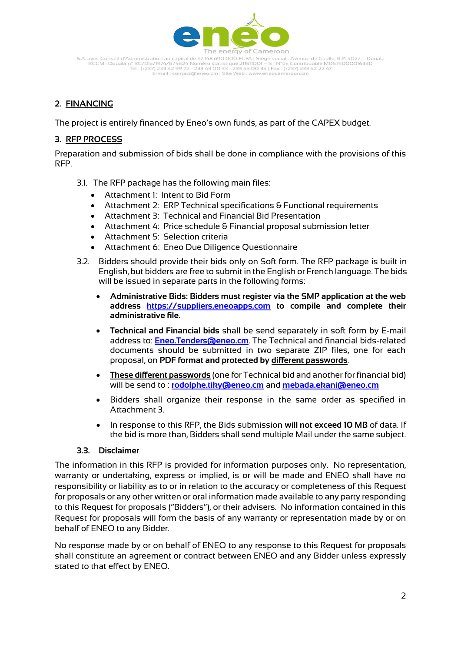

S.A. avec Conseil d'Administration au capital de 47.148.690.000 FCFA | Siège social : Avenue de Gaulle, B.P. 4077 – Douala<br>RCCM : Douala n° RC/Dla/1974/B/4624 Numéro statistique 211511001 – S | N°de Contribuable M057400001 -mail : contact@eneo.cm | Site Web : www.eneocameroon.cm

# **2. FINANCING**

The project is entirely financed by Eneo's own funds, as part of the CAPEX budget.

## **3. RFP PROCESS**

Preparation and submission of bids shall be done in compliance with the provisions of this RFP.

- 3.1. The RFP package has the following main files:
	- Attachment 1: Intent to Bid Form
	- Attachment 2: ERP Technical specifications & Functional requirements
	- Attachment 3: Technical and Financial Bid Presentation
	- Attachment 4: Price schedule & Financial proposal submission letter
	- Attachment 5: Selection criteria
	- Attachment 6: Eneo Due Diligence Questionnaire
- 3.2. Bidders should provide their bids only on Soft form. The RFP package is built in English, but bidders are free to submit in the English or French language. The bids will be issued in separate parts in the following forms:
	- **Administrative Bids: Bidders must register via the SMP application at the web address [https://suppliers.eneoapps.com](https://suppliers.eneoapps.com/) to compile and complete their administrative file.**
	- **Technical and Financial bids** shall be send separately in soft form by E-mail address to: **[Eneo.Tenders@eneo.cm](mailto:Eneo.Tenders@eneo.cm)**. The Technical and financial bids-related documents should be submitted in two separate ZIP files, one for each proposal, on **PDF format and protected by different passwords**.
	- **These different passwords** (one for Technical bid and another for financial bid) will be send to : **[rodolphe.tiky@eneo.cm](mailto:rodolphe.tiky@eneo.cm)** and **[mebada.ekani@eneo.cm](mailto:mebada.ekani@eneo.cm)**
	- Bidders shall organize their response in the same order as specified in Attachment 3.
	- In response to this RFP, the Bids submission **will not exceed 10 MB** of data. If the bid is more than, Bidders shall send multiple Mail under the same subject.

## **3.3. Disclaimer**

The information in this RFP is provided for information purposes only. No representation, warranty or undertaking, express or implied, is or will be made and ENEO shall have no responsibility or liability as to or in relation to the accuracy or completeness of this Request for proposals or any other written or oral information made available to any party responding to this Request for proposals ("Bidders"), or their advisers. No information contained in this Request for proposals will form the basis of any warranty or representation made by or on behalf of ENEO to any Bidder.

No response made by or on behalf of ENEO to any response to this Request for proposals shall constitute an agreement or contract between ENEO and any Bidder unless expressly stated to that effect by ENEO.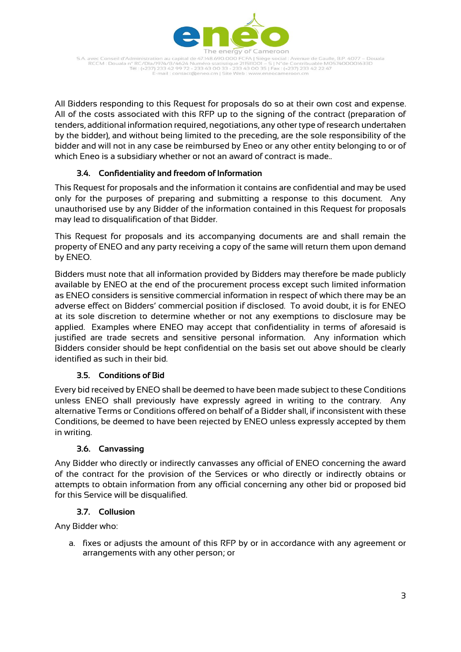

S.A. avec Conseil d'Administration au capital de 47.148.690.000 FCFA | Siège social : Avenue de Gaulle, B.P. 4077 – Douala<br>RCCM : Douala n° RC/Dla/1974/B/4624 Numéro statistique 211511001 – S | N°de Contribuable M057400001 -mail : contact@eneo.cm | Site Web : www.er

All Bidders responding to this Request for proposals do so at their own cost and expense. All of the costs associated with this RFP up to the signing of the contract (preparation of tenders, additional information required, negotiations, any other type of research undertaken by the bidder), and without being limited to the preceding, are the sole responsibility of the bidder and will not in any case be reimbursed by Eneo or any other entity belonging to or of which Eneo is a subsidiary whether or not an award of contract is made..

# **3.4. Confidentiality and freedom of Information**

This Request for proposals and the information it contains are confidential and may be used only for the purposes of preparing and submitting a response to this document. Any unauthorised use by any Bidder of the information contained in this Request for proposals may lead to disqualification of that Bidder.

This Request for proposals and its accompanying documents are and shall remain the property of ENEO and any party receiving a copy of the same will return them upon demand by ENEO.

Bidders must note that all information provided by Bidders may therefore be made publicly available by ENEO at the end of the procurement process except such limited information as ENEO considers is sensitive commercial information in respect of which there may be an adverse effect on Bidders' commercial position if disclosed. To avoid doubt, it is for ENEO at its sole discretion to determine whether or not any exemptions to disclosure may be applied. Examples where ENEO may accept that confidentiality in terms of aforesaid is justified are trade secrets and sensitive personal information. Any information which Bidders consider should be kept confidential on the basis set out above should be clearly identified as such in their bid.

## **3.5. Conditions of Bid**

Every bid received by ENEO shall be deemed to have been made subject to these Conditions unless ENEO shall previously have expressly agreed in writing to the contrary. Any alternative Terms or Conditions offered on behalf of a Bidder shall, if inconsistent with these Conditions, be deemed to have been rejected by ENEO unless expressly accepted by them in writing.

## **3.6. Canvassing**

Any Bidder who directly or indirectly canvasses any official of ENEO concerning the award of the contract for the provision of the Services or who directly or indirectly obtains or attempts to obtain information from any official concerning any other bid or proposed bid for this Service will be disqualified.

## **3.7. Collusion**

Any Bidder who:

a. fixes or adjusts the amount of this RFP by or in accordance with any agreement or arrangements with any other person; or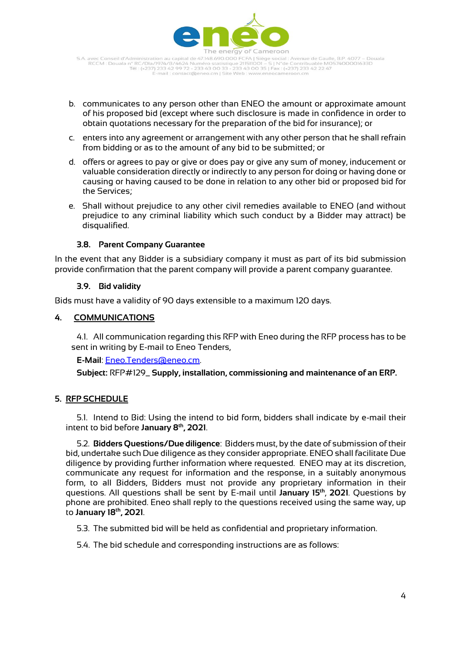

S.A. avec Conseil d'Administration au capital de 47.148.690.000 FCFA | Siège social : Avenue de Gaulle, B.P. 4077 – Douala<br>RCCM : Douala n° RC/Dla/1974/B/4624 Numéro statistique 211511001 – S | N°de Contribuable M057400001 -mail: contact@eneo.cm | Site Web : www.eneocameroon.cm

- b. communicates to any person other than ENEO the amount or approximate amount of his proposed bid (except where such disclosure is made in confidence in order to obtain quotations necessary for the preparation of the bid for insurance); or
- c. enters into any agreement or arrangement with any other person that he shall refrain from bidding or as to the amount of any bid to be submitted; or
- d. offers or agrees to pay or give or does pay or give any sum of money, inducement or valuable consideration directly or indirectly to any person for doing or having done or causing or having caused to be done in relation to any other bid or proposed bid for the Services;
- e. Shall without prejudice to any other civil remedies available to ENEO (and without prejudice to any criminal liability which such conduct by a Bidder may attract) be disqualified.

#### **3.8. Parent Company Guarantee**

In the event that any Bidder is a subsidiary company it must as part of its bid submission provide confirmation that the parent company will provide a parent company guarantee.

#### **3.9. Bid validity**

Bids must have a validity of 90 days extensible to a maximum 120 days.

#### **4. COMMUNICATIONS**

4.1. All communication regarding this RFP with Eneo during the RFP process has to be sent in writing by E-mail to Eneo Tenders,

**E-Mail**: [Eneo.Tenders@eneo.cm.](mailto:Eneo.Tenders@eneo.cm)

**Subject:** RFP#129\_ **Supply, installation, commissioning and maintenance of an ERP.**

## **5. RFP SCHEDULE**

5.1. Intend to Bid: Using the intend to bid form, bidders shall indicate by e-mail their intent to bid before **January 8th, 2021**.

5.2. **Bidders Questions/Due diligence**: Bidders must, by the date of submission of their bid, undertake such Due diligence as they consider appropriate. ENEO shall facilitate Due diligence by providing further information where requested. ENEO may at its discretion, communicate any request for information and the response, in a suitably anonymous form, to all Bidders, Bidders must not provide any proprietary information in their questions. All questions shall be sent by E-mail until **January 15th** , **2021**. Questions by phone are prohibited. Eneo shall reply to the questions received using the same way, up to **January 18th, 2021**.

5.3. The submitted bid will be held as confidential and proprietary information.

5.4. The bid schedule and corresponding instructions are as follows: